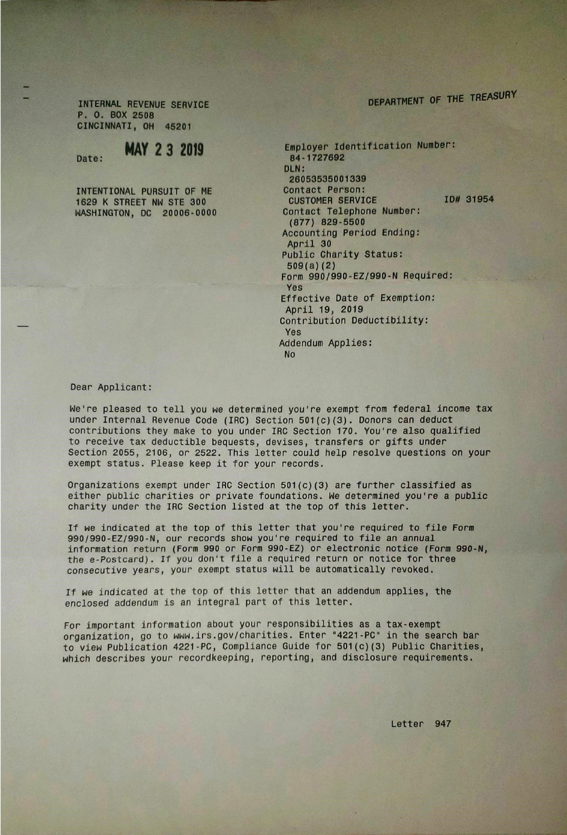## DEPARTMENT OF THE TREASURY

INTERNAL REVENUE SERVICE p. O. BOX 2508 CINCINNATI, OH 45201

## Date: **MAY 2 3 2019**

INTENTIONAL PURSUIT OF ME 1629 K STREET NW STE 300 NASHINGTON, DC 20006-0000

Employer Identification Number: 84-1727692 DLN: 26053535001339 Contact Person: CUSTOMER SERVICE ID# 31954 Contact Telephone Number: (877) 829-5500 Accounting Period Ending: April 30 Public Charity Status: 509(a) (2) Form 990/990-EZ/990-N Required: Yes Effective Date of Exemption: April 19, 2019 Contribution Deductibility: Yes Addendum Applies: No

## Dear Applicant:

We're pleased to tell you we determined you're exempt from federal income tax under Internal Revenue Code (IRC) Section 501 (c) (3). Donors can deduct contributions they make to you under IRC Section 170. You're also qualified to receive tax deductible bequests, devises, transfers or gifts under Section 2055, 2106, or 2522. This letter could help resolve questions on your exempt status. Please keep it for your records.

Organizations exempt under IRC Section  $501(c)$  (3) are further classified as either public charities or private foundations. We determined you're a public charity under the IRC Section listed at the top of this letter.

If we indicated at the top of this letter that you're required to file Form 990/990-EZ/990-N, our records show you're required to file an annual information return (Form 990 or Form 990-EZ) or electronic notice (Form 990-N, the e-Postcard). If you don't file a required return or notice for three consecutive years, your exempt status will be automatically revoked.

If we indicated at the top of this letter that an addendum applies, the enclosed addendum is an integral part of this letter.

For important information about your responsibilities as a tax-exempt organization, go to www.irs.gov/charities. Enter "4221 -PC" in the search bar to view Publication 4221 -PC, Compliance Guide for 501 (c) (3) Public Charities, which describes your recordkeeping, reporting, and disclosure requirements.

Letter 947